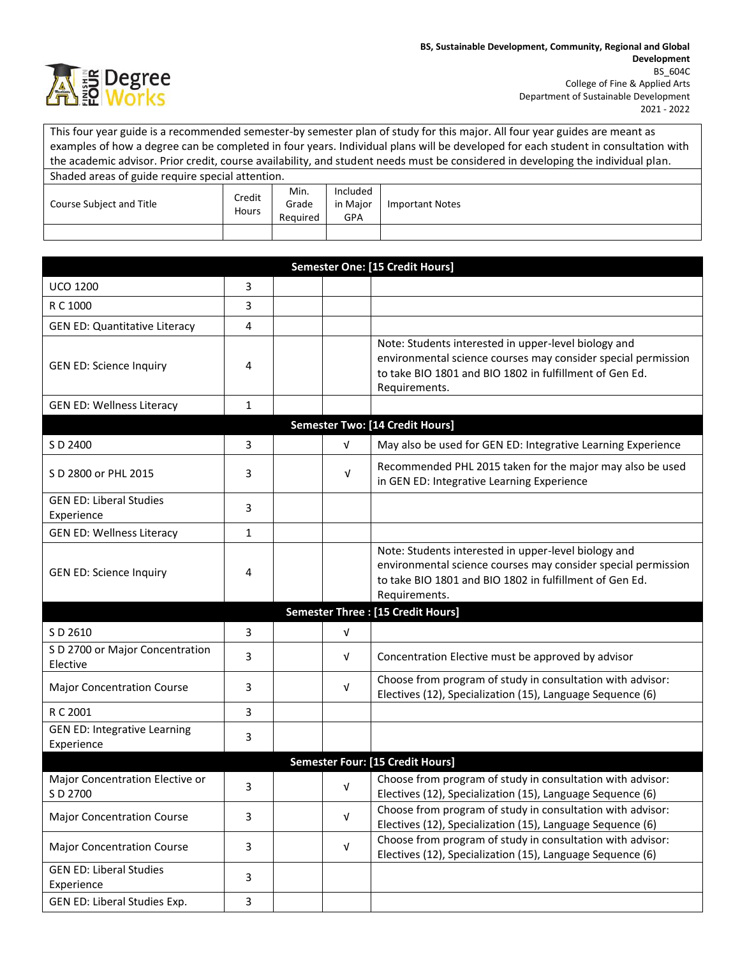

This four year guide is a recommended semester-by semester plan of study for this major. All four year guides are meant as examples of how a degree can be completed in four years. Individual plans will be developed for each student in consultation with the academic advisor. Prior credit, course availability, and student needs must be considered in developing the individual plan. Shaded areas of guide require special attention.

| Shaaca arcas or galac regaine special attention. |                 |          |          |                        |
|--------------------------------------------------|-----------------|----------|----------|------------------------|
| Course Subject and Title                         | Credit<br>Hours | Min.     | Included |                        |
|                                                  |                 | Grade    | in Major | <b>Important Notes</b> |
|                                                  |                 | Reauired | GPA      |                        |
|                                                  |                 |          |          |                        |

| <b>Semester One: [15 Credit Hours]</b>            |              |  |            |                                                                                                                                                                                                   |  |
|---------------------------------------------------|--------------|--|------------|---------------------------------------------------------------------------------------------------------------------------------------------------------------------------------------------------|--|
| <b>UCO 1200</b>                                   | 3            |  |            |                                                                                                                                                                                                   |  |
| R C 1000                                          | 3            |  |            |                                                                                                                                                                                                   |  |
| <b>GEN ED: Quantitative Literacy</b>              | 4            |  |            |                                                                                                                                                                                                   |  |
| <b>GEN ED: Science Inquiry</b>                    | 4            |  |            | Note: Students interested in upper-level biology and<br>environmental science courses may consider special permission<br>to take BIO 1801 and BIO 1802 in fulfillment of Gen Ed.<br>Requirements. |  |
| <b>GEN ED: Wellness Literacy</b>                  | $\mathbf{1}$ |  |            |                                                                                                                                                                                                   |  |
|                                                   |              |  |            | <b>Semester Two: [14 Credit Hours]</b>                                                                                                                                                            |  |
| S D 2400                                          | 3            |  | $\sqrt{ }$ | May also be used for GEN ED: Integrative Learning Experience                                                                                                                                      |  |
| S D 2800 or PHL 2015                              | 3            |  | $\sqrt{ }$ | Recommended PHL 2015 taken for the major may also be used<br>in GEN ED: Integrative Learning Experience                                                                                           |  |
| <b>GEN ED: Liberal Studies</b><br>Experience      | 3            |  |            |                                                                                                                                                                                                   |  |
| <b>GEN ED: Wellness Literacy</b>                  | $\mathbf{1}$ |  |            |                                                                                                                                                                                                   |  |
| <b>GEN ED: Science Inquiry</b>                    | 4            |  |            | Note: Students interested in upper-level biology and<br>environmental science courses may consider special permission<br>to take BIO 1801 and BIO 1802 in fulfillment of Gen Ed.<br>Requirements. |  |
|                                                   |              |  |            | Semester Three : [15 Credit Hours]                                                                                                                                                                |  |
| S D 2610                                          | 3            |  | $\sqrt{ }$ |                                                                                                                                                                                                   |  |
| S D 2700 or Major Concentration<br>Elective       | 3            |  | V          | Concentration Elective must be approved by advisor                                                                                                                                                |  |
| <b>Major Concentration Course</b>                 | 3            |  | $\sqrt{ }$ | Choose from program of study in consultation with advisor:<br>Electives (12), Specialization (15), Language Sequence (6)                                                                          |  |
| R C 2001                                          | 3            |  |            |                                                                                                                                                                                                   |  |
| <b>GEN ED: Integrative Learning</b><br>Experience | 3            |  |            |                                                                                                                                                                                                   |  |
| <b>Semester Four: [15 Credit Hours]</b>           |              |  |            |                                                                                                                                                                                                   |  |
| Major Concentration Elective or<br>S D 2700       | 3            |  | $\sqrt{ }$ | Choose from program of study in consultation with advisor:<br>Electives (12), Specialization (15), Language Sequence (6)                                                                          |  |
| <b>Major Concentration Course</b>                 | 3            |  | $\sqrt{ }$ | Choose from program of study in consultation with advisor:<br>Electives (12), Specialization (15), Language Sequence (6)                                                                          |  |
| <b>Major Concentration Course</b>                 | 3            |  | $\sqrt{ }$ | Choose from program of study in consultation with advisor:<br>Electives (12), Specialization (15), Language Sequence (6)                                                                          |  |
| <b>GEN ED: Liberal Studies</b><br>Experience      | 3            |  |            |                                                                                                                                                                                                   |  |
| GEN ED: Liberal Studies Exp.                      | 3            |  |            |                                                                                                                                                                                                   |  |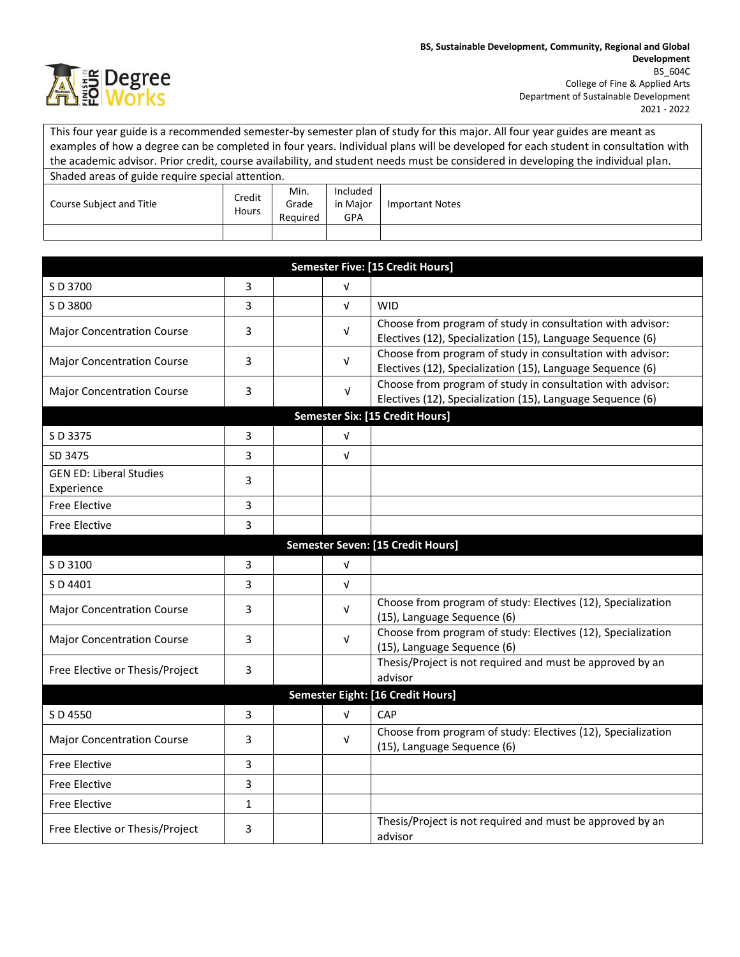

This four year guide is a recommended semester-by semester plan of study for this major. All four year guides are meant as examples of how a degree can be completed in four years. Individual plans will be developed for each student in consultation with the academic advisor. Prior credit, course availability, and student needs must be considered in developing the individual plan. Shaded areas of guide require special attention.

| Shaaca arcas or galac regaine special attention. |                 |          |          |                        |
|--------------------------------------------------|-----------------|----------|----------|------------------------|
| Course Subject and Title                         | Credit<br>Hours | Min.     | Included |                        |
|                                                  |                 | Grade    | in Major | <b>Important Notes</b> |
|                                                  |                 | Reauired | GPA      |                        |
|                                                  |                 |          |          |                        |

| <b>Semester Five: [15 Credit Hours]</b>      |                                   |            |                                                                                                                          |  |  |  |
|----------------------------------------------|-----------------------------------|------------|--------------------------------------------------------------------------------------------------------------------------|--|--|--|
| S D 3700                                     | 3                                 | $\sqrt{ }$ |                                                                                                                          |  |  |  |
| S D 3800                                     | 3                                 | $\sqrt{ }$ | <b>WID</b>                                                                                                               |  |  |  |
| <b>Major Concentration Course</b>            | 3                                 | V          | Choose from program of study in consultation with advisor:<br>Electives (12), Specialization (15), Language Sequence (6) |  |  |  |
| <b>Major Concentration Course</b>            | 3                                 | $\sqrt{ }$ | Choose from program of study in consultation with advisor:<br>Electives (12), Specialization (15), Language Sequence (6) |  |  |  |
| <b>Major Concentration Course</b>            | 3                                 | $\sqrt{ }$ | Choose from program of study in consultation with advisor:<br>Electives (12), Specialization (15), Language Sequence (6) |  |  |  |
| <b>Semester Six: [15 Credit Hours]</b>       |                                   |            |                                                                                                                          |  |  |  |
| S D 3375                                     | 3                                 | $\sqrt{ }$ |                                                                                                                          |  |  |  |
| SD 3475                                      | 3                                 | $\sqrt{ }$ |                                                                                                                          |  |  |  |
| <b>GEN ED: Liberal Studies</b><br>Experience | 3                                 |            |                                                                                                                          |  |  |  |
| <b>Free Elective</b>                         | 3                                 |            |                                                                                                                          |  |  |  |
| <b>Free Elective</b>                         | 3                                 |            |                                                                                                                          |  |  |  |
|                                              | Semester Seven: [15 Credit Hours] |            |                                                                                                                          |  |  |  |
| S D 3100                                     | 3                                 | $\sqrt{ }$ |                                                                                                                          |  |  |  |
| S D 4401                                     | 3                                 | $\sqrt{ }$ |                                                                                                                          |  |  |  |
| <b>Major Concentration Course</b>            | 3                                 | V          | Choose from program of study: Electives (12), Specialization<br>(15), Language Sequence (6)                              |  |  |  |
| <b>Major Concentration Course</b>            | 3                                 | V          | Choose from program of study: Electives (12), Specialization<br>(15), Language Sequence (6)                              |  |  |  |
| Free Elective or Thesis/Project              | 3                                 |            | Thesis/Project is not required and must be approved by an<br>advisor                                                     |  |  |  |
| Semester Eight: [16 Credit Hours]            |                                   |            |                                                                                                                          |  |  |  |
| S D 4550                                     | 3                                 | $\sqrt{ }$ | CAP                                                                                                                      |  |  |  |
| <b>Major Concentration Course</b>            | 3                                 | $\sqrt{ }$ | Choose from program of study: Electives (12), Specialization<br>(15), Language Sequence (6)                              |  |  |  |
| <b>Free Elective</b>                         | 3                                 |            |                                                                                                                          |  |  |  |
| <b>Free Elective</b>                         | 3                                 |            |                                                                                                                          |  |  |  |
| <b>Free Elective</b>                         | $\mathbf{1}$                      |            |                                                                                                                          |  |  |  |
| Free Elective or Thesis/Project              | 3                                 |            | Thesis/Project is not required and must be approved by an<br>advisor                                                     |  |  |  |